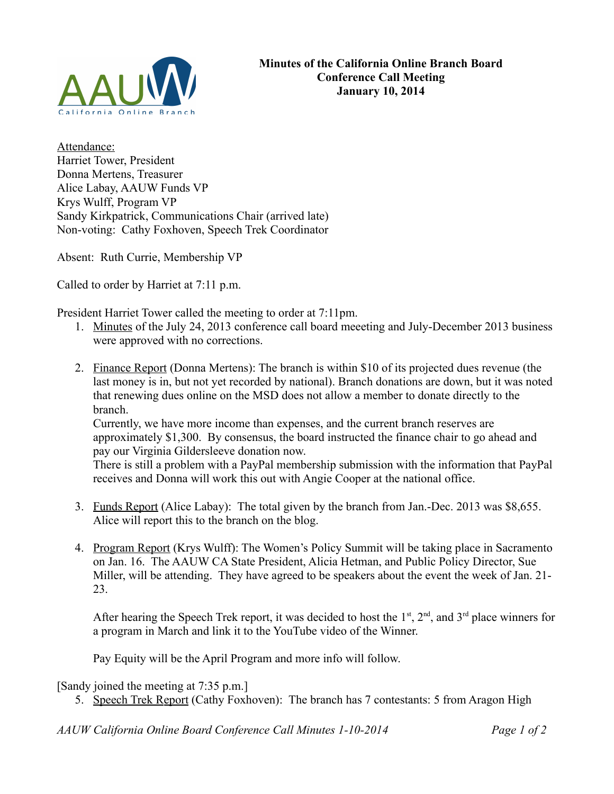

Attendance: Harriet Tower, President Donna Mertens, Treasurer Alice Labay, AAUW Funds VP Krys Wulff, Program VP Sandy Kirkpatrick, Communications Chair (arrived late) Non-voting: Cathy Foxhoven, Speech Trek Coordinator

Absent: Ruth Currie, Membership VP

Called to order by Harriet at 7:11 p.m.

President Harriet Tower called the meeting to order at 7:11pm.

- 1. Minutes of the July 24, 2013 conference call board meeeting and July-December 2013 business were approved with no corrections.
- 2. Finance Report (Donna Mertens): The branch is within \$10 of its projected dues revenue (the last money is in, but not yet recorded by national). Branch donations are down, but it was noted that renewing dues online on the MSD does not allow a member to donate directly to the branch.

Currently, we have more income than expenses, and the current branch reserves are approximately \$1,300. By consensus, the board instructed the finance chair to go ahead and pay our Virginia Gildersleeve donation now.

There is still a problem with a PayPal membership submission with the information that PayPal receives and Donna will work this out with Angie Cooper at the national office.

- 3. Funds Report (Alice Labay): The total given by the branch from Jan.-Dec. 2013 was \$8,655. Alice will report this to the branch on the blog.
- 4. Program Report (Krys Wulff): The Women's Policy Summit will be taking place in Sacramento on Jan. 16. The AAUW CA State President, Alicia Hetman, and Public Policy Director, Sue Miller, will be attending. They have agreed to be speakers about the event the week of Jan. 21- 23.

After hearing the Speech Trek report, it was decided to host the  $1<sup>st</sup>$ ,  $2<sup>nd</sup>$ , and  $3<sup>rd</sup>$  place winners for a program in March and link it to the YouTube video of the Winner.

Pay Equity will be the April Program and more info will follow.

[Sandy joined the meeting at 7:35 p.m.]

5. Speech Trek Report (Cathy Foxhoven): The branch has 7 contestants: 5 from Aragon High